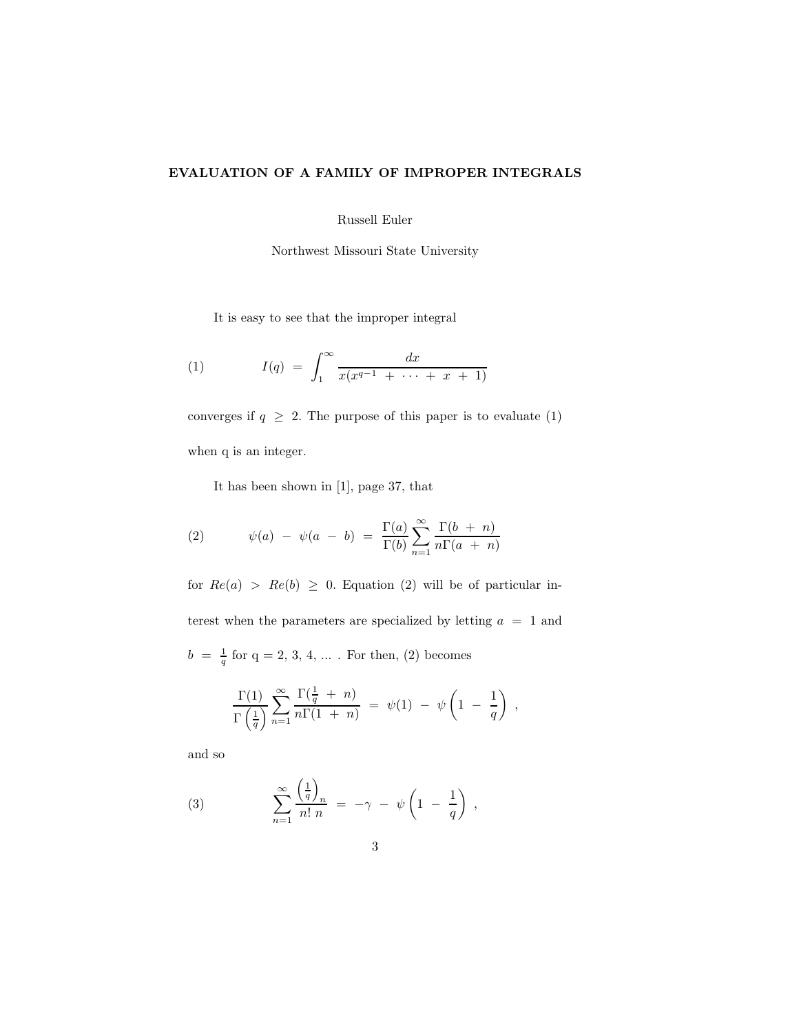## EVALUATION OF A FAMILY OF IMPROPER INTEGRALS

Russell Euler

Northwest Missouri State University

It is easy to see that the improper integral

(1) 
$$
I(q) = \int_{1}^{\infty} \frac{dx}{x(x^{q-1} + \cdots + x + 1)}
$$

converges if  $q \geq 2$ . The purpose of this paper is to evaluate (1) when q is an integer.

It has been shown in [1], page 37, that

(2) 
$$
\psi(a) - \psi(a - b) = \frac{\Gamma(a)}{\Gamma(b)} \sum_{n=1}^{\infty} \frac{\Gamma(b + n)}{n \Gamma(a + n)}
$$

for  $Re(a) > Re(b) \ge 0$ . Equation (2) will be of particular interest when the parameters are specialized by letting  $a = 1$  and  $b = \frac{1}{a}$  $\frac{1}{q}$  for  $q = 2, 3, 4, ...$  . For then, (2) becomes

$$
\frac{\Gamma(1)}{\Gamma(\frac{1}{q})}\sum_{n=1}^{\infty}\frac{\Gamma(\frac{1}{q} + n)}{n\Gamma(1 + n)} = \psi(1) - \psi\left(1 - \frac{1}{q}\right) ,
$$

and so

(3) 
$$
\sum_{n=1}^{\infty} \frac{\left(\frac{1}{q}\right)_n}{n! n} = -\gamma - \psi \left(1 - \frac{1}{q}\right),
$$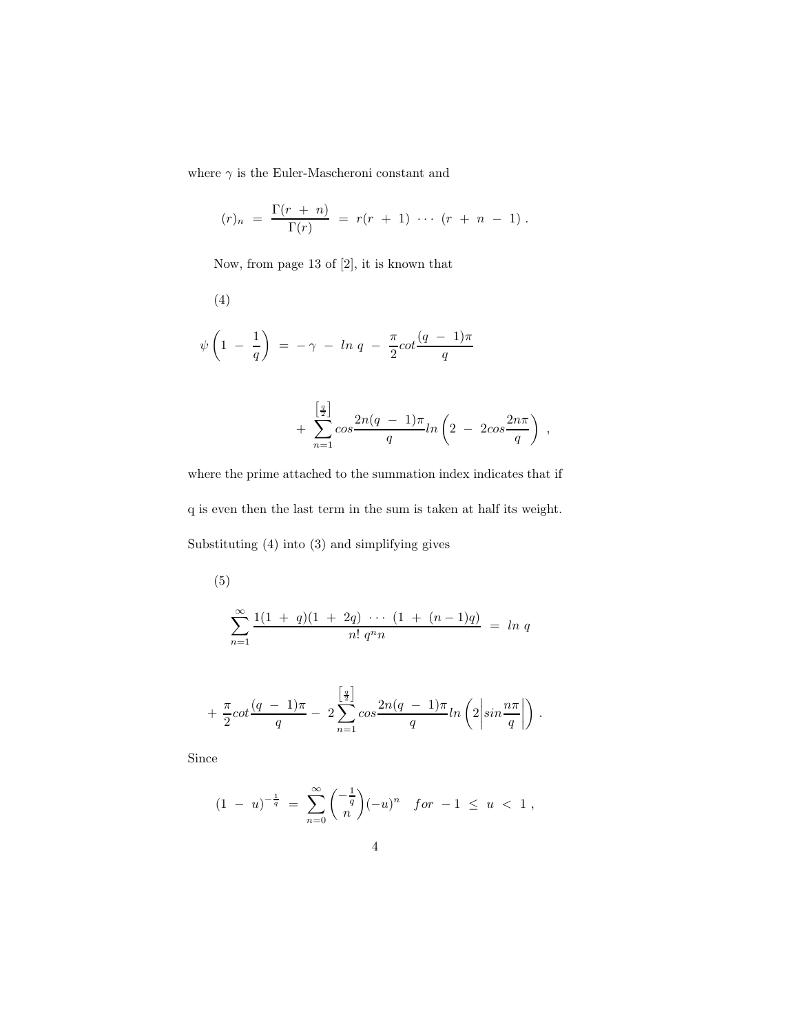where  $\gamma$  is the Euler-Mascheroni constant and

$$
(r)_n = \frac{\Gamma(r+n)}{\Gamma(r)} = r(r+1) \cdots (r+n-1).
$$

Now, from page 13 of [2], it is known that

(4)  
\n
$$
\psi\left(1-\frac{1}{q}\right) = -\gamma - \ln q - \frac{\pi}{2} \cot \frac{(q-1)\pi}{q}
$$

$$
+\sum_{n=1}^{\left[\frac{q}{2}\right]} \cos\frac{2n(q-1)\pi}{q}ln\left(2-2\cos\frac{2n\pi}{q}\right),\,
$$

where the prime attached to the summation index indicates that if  ${\bf q}$  is even then the last term in the sum is taken at half its weight. Substituting (4) into (3) and simplifying gives

(5)  

$$
\sum_{n=1}^{\infty} \frac{1(1+q)(1+2q) \cdots (1+(n-1)q)}{n! q^n n} = \ln q
$$

$$
+\frac{\pi}{2}cot\frac{(q-1)\pi}{q}-2\sum_{n=1}^{\left[\frac{q}{2}\right]}cos\frac{2n(q-1)\pi}{q}ln\left(2\left|sin\frac{n\pi}{q}\right|\right).
$$

Since

$$
(1 - u)^{-\frac{1}{q}} = \sum_{n=0}^{\infty} {\binom{-\frac{1}{q}}{n}} (-u)^n \quad \text{for } -1 \le u < 1 \,,
$$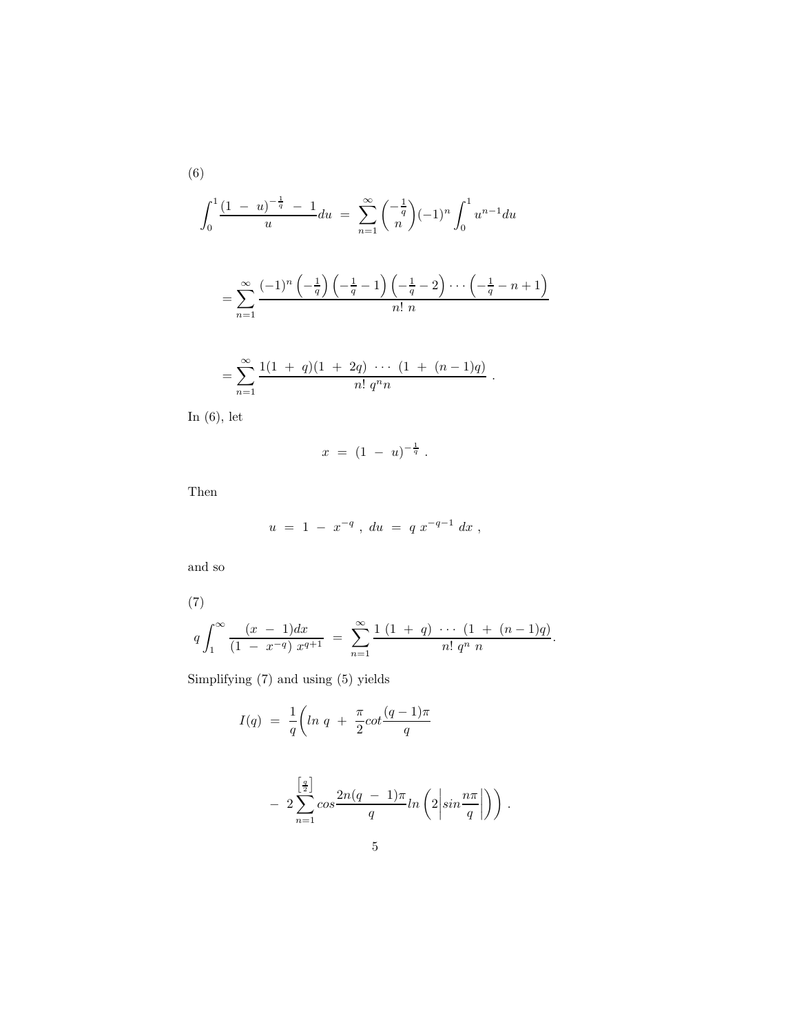$$
\int_0^1 \frac{(1-u)^{-\frac{1}{q}} - 1}{u} du = \sum_{n=1}^\infty {\binom{-\frac{1}{q}}{n}} (-1)^n \int_0^1 u^{n-1} du
$$

$$
= \sum_{n=1}^\infty \frac{(-1)^n \left(-\frac{1}{q}\right) \left(-\frac{1}{q} - 1\right) \left(-\frac{1}{q} - 2\right) \cdots \left(-\frac{1}{q} - n + 1\right)}{n! n}
$$

$$
= \sum_{n=1}^{\infty} \frac{1(1 + q)(1 + 2q) \cdots (1 + (n-1)q)}{n! q^n n}.
$$

In (6), let

$$
x = (1 - u)^{-\frac{1}{q}}.
$$

Then

$$
u = 1 - x^{-q} , du = q x^{-q-1} dx ,
$$

and so

(7)  
\n
$$
q \int_{1}^{\infty} \frac{(x-1)dx}{(1-x^{-q}) x^{q+1}} = \sum_{n=1}^{\infty} \frac{1 (1+q) \cdots (1+(n-1)q)}{n! q^n n}.
$$

Simplifying (7) and using (5) yields

$$
I(q) = \frac{1}{q} \left( \ln q + \frac{\pi}{2} \cot \frac{(q-1)\pi}{q} \right)
$$

$$
- 2\sum_{n=1}^{\left[\frac{q}{2}\right]} \cos \frac{2n(q-1)\pi}{q} ln\left(2\left|\sin \frac{n\pi}{q}\right|\right)\right).
$$

(6)